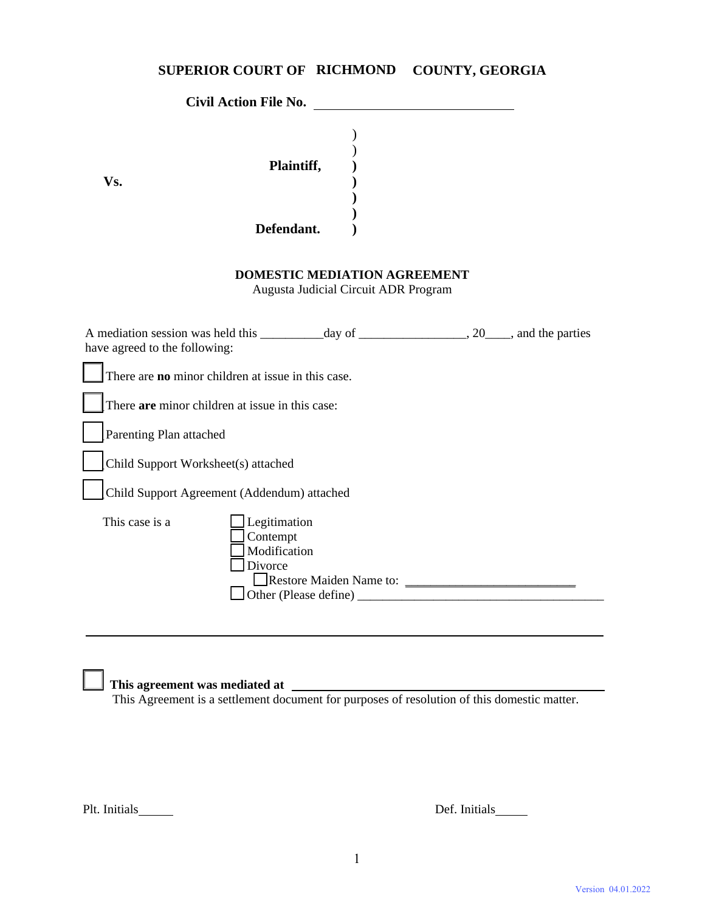# **SUPERIOR COURT OF RICHMOND COUNTY, GEORGIA**

|     | <b>Civil Action File No.</b> |  |
|-----|------------------------------|--|
| Vs. | Plaintiff,                   |  |
|     | Defendant.                   |  |

# **DOMESTIC MEDIATION AGREEMENT**

Augusta Judicial Circuit ADR Program

| have agreed to the following:                                         |                                                  |  |
|-----------------------------------------------------------------------|--------------------------------------------------|--|
| There are no minor children at issue in this case.                    |                                                  |  |
| There are minor children at issue in this case:                       |                                                  |  |
| Parenting Plan attached                                               |                                                  |  |
| Child Support Worksheet(s) attached                                   |                                                  |  |
| Child Support Agreement (Addendum) attached                           |                                                  |  |
| Legitimation<br>This case is a<br>Contempt<br>Modification<br>Divorce | Restore Maiden Name to:<br>Other (Please define) |  |

**This agreement was mediated at**

This Agreement is a settlement document for purposes of resolution of this domestic matter.

Plt. Initials Def. Initials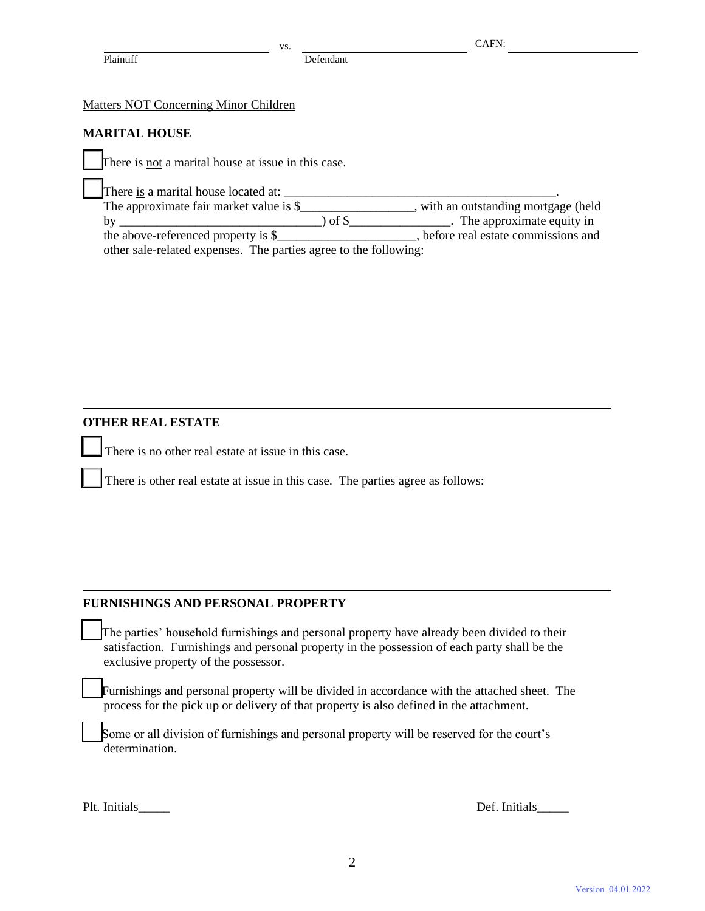### Matters NOT Concerning Minor Children

#### **MARITAL HOUSE**

**\_\_\_**There is not a marital house at issue in this case.

| There is a marital house located at:                             |       |                                        |  |  |
|------------------------------------------------------------------|-------|----------------------------------------|--|--|
| The approximate fair market value is \$                          |       | , with an outstanding mortgage (held   |  |  |
| hv                                                               | of \$ | $\therefore$ The approximate equity in |  |  |
| the above-referenced property is \$                              |       | before real estate commissions and     |  |  |
| other sale-related expenses. The parties agree to the following: |       |                                        |  |  |

#### **OTHER REAL ESTATE**

There is no other real estate at issue in this case.

There is other real estate at issue in this case. The parties agree as follows:

# **FURNISHINGS AND PERSONAL PROPERTY**

The parties' household furnishings and personal property have already been divided to their satisfaction. Furnishings and personal property in the possession of each party shall be the exclusive property of the possessor.

Furnishings and personal property will be divided in accordance with the attached sheet. The process for the pick up or delivery of that property is also defined in the attachment.

Some or all division of furnishings and personal property will be reserved for the court's determination.

|  | Plt. Initials |
|--|---------------|
|--|---------------|

Def. Initials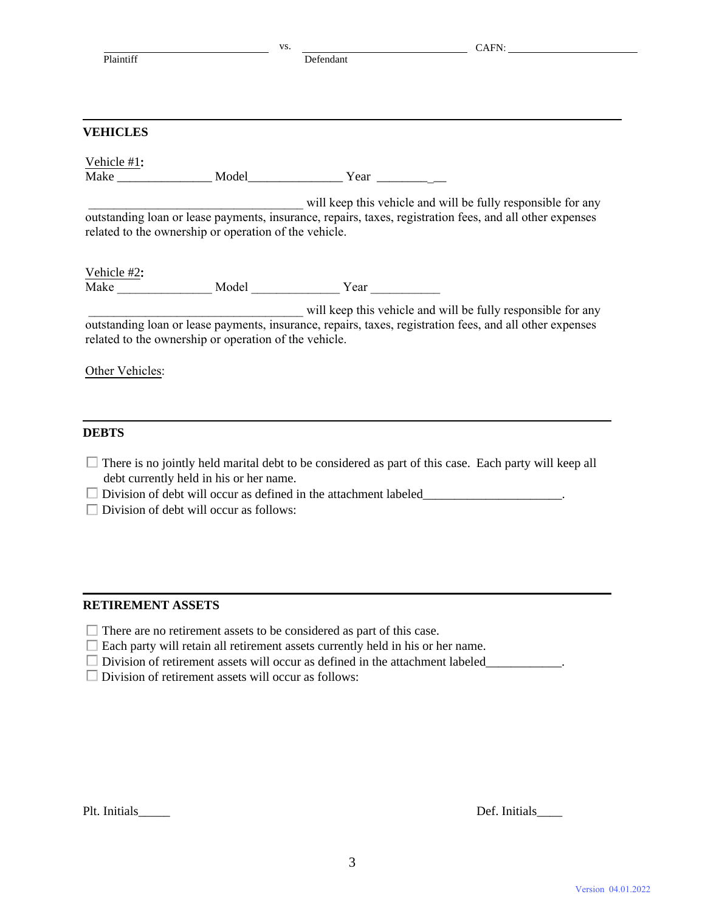|                                                       | VS. |                  | CAFN:                                                                                                    |
|-------------------------------------------------------|-----|------------------|----------------------------------------------------------------------------------------------------------|
| Plaintiff                                             |     | <b>Defendant</b> |                                                                                                          |
|                                                       |     |                  |                                                                                                          |
|                                                       |     |                  |                                                                                                          |
| <b>VEHICLES</b>                                       |     |                  |                                                                                                          |
| Vehicle #1:                                           |     |                  |                                                                                                          |
|                                                       |     |                  |                                                                                                          |
|                                                       |     |                  | will keep this vehicle and will be fully responsible for any                                             |
|                                                       |     |                  |                                                                                                          |
|                                                       |     |                  | outstanding loan or lease payments, insurance, repairs, taxes, registration fees, and all other expenses |
|                                                       |     |                  |                                                                                                          |
| related to the ownership or operation of the vehicle. |     |                  |                                                                                                          |
|                                                       |     |                  |                                                                                                          |
|                                                       |     |                  |                                                                                                          |
|                                                       |     |                  |                                                                                                          |
|                                                       |     |                  |                                                                                                          |
| Vehicle #2:                                           |     |                  |                                                                                                          |
|                                                       |     |                  |                                                                                                          |
|                                                       |     |                  | outstanding loan or lease payments, insurance, repairs, taxes, registration fees, and all other expenses |
| related to the ownership or operation of the vehicle. |     |                  |                                                                                                          |
|                                                       |     |                  |                                                                                                          |
| Other Vehicles:                                       |     |                  | will keep this vehicle and will be fully responsible for any                                             |
|                                                       |     |                  |                                                                                                          |
|                                                       |     |                  |                                                                                                          |
|                                                       |     |                  |                                                                                                          |

| $\Box$ There is no jointly held marital debt to be considered as part of this case. Each party will keep all |  |
|--------------------------------------------------------------------------------------------------------------|--|
| debt currently held in his or her name.                                                                      |  |

Division of debt will occur as defined in the attachment labeled\_\_\_\_\_\_\_\_\_\_\_\_\_\_\_\_\_\_\_\_\_\_\_.

 $\Box$  Division of debt will occur as follows:

# **RETIREMENT ASSETS**

- $\Box$  There are no retirement assets to be considered as part of this case.
- $\Box$  Each party will retain all retirement assets currently held in his or her name.
- Division of retirement assets will occur as defined in the attachment labeled\_\_\_\_\_\_\_\_\_\_\_.
- $\square$  Division of retirement assets will occur as follows:

Plt. Initials Def. Initials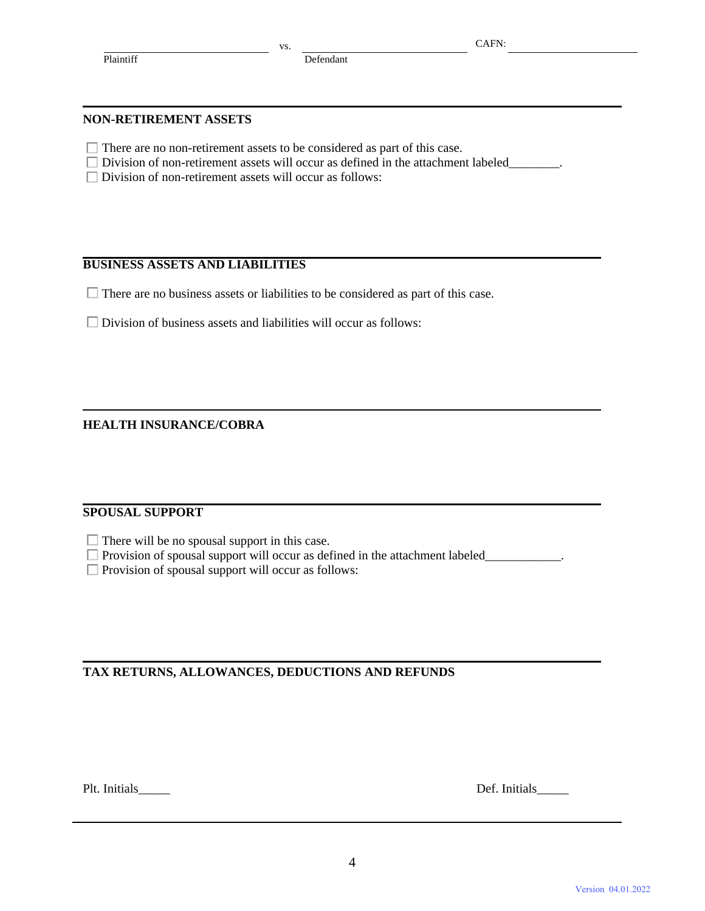#### **NON-RETIREMENT ASSETS**

- $\Box$  There are no non-retirement assets to be considered as part of this case.
- Division of non-retirement assets will occur as defined in the attachment labeled\_\_\_\_\_\_\_.
- $\Box$  Division of non-retirement assets will occur as follows:

## **BUSINESS ASSETS AND LIABILITIES**

 $\Box$  There are no business assets or liabilities to be considered as part of this case.

 $\square$  Division of business assets and liabilities will occur as follows:

# **HEALTH INSURANCE/COBRA**

## **SPOUSAL SUPPORT**

 $\Box$  There will be no spousal support in this case.

□ Provision of spousal support will occur as defined in the attachment labeled\_\_\_\_\_\_\_\_\_\_\_\_.

 $\Box$  Provision of spousal support will occur as follows:

## **TAX RETURNS, ALLOWANCES, DEDUCTIONS AND REFUNDS**

Plt. Initials\_\_\_\_\_\_ Def. Initials\_\_\_\_\_\_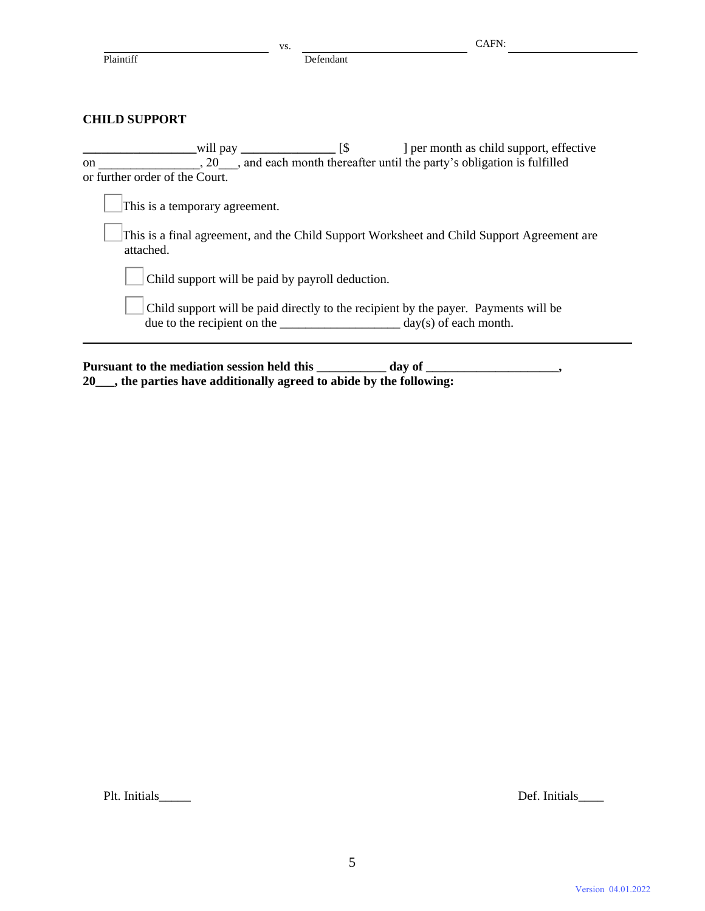| Plaintiff |  |
|-----------|--|
|           |  |

Defendant

## **CHILD SUPPORT**

|                                |                                                                 | per month as child support, effective                                                      |
|--------------------------------|-----------------------------------------------------------------|--------------------------------------------------------------------------------------------|
| <sub>on</sub>                  |                                                                 | 20, and each month thereafter until the party's obligation is fulfilled                    |
| or further order of the Court. |                                                                 |                                                                                            |
|                                | This is a temporary agreement.                                  |                                                                                            |
| attached.                      |                                                                 | This is a final agreement, and the Child Support Worksheet and Child Support Agreement are |
|                                | Child support will be paid by payroll deduction.                |                                                                                            |
|                                | due to the recipient on the $\frac{1}{2}$ day(s) of each month. | Child support will be paid directly to the recipient by the payer. Payments will be        |
|                                | Pursuant to the mediation session held this                     | day of                                                                                     |

**20\_\_\_, the parties have additionally agreed to abide by the following:** 

Plt. Initials\_\_\_\_\_\_ Def. Initials\_\_\_\_\_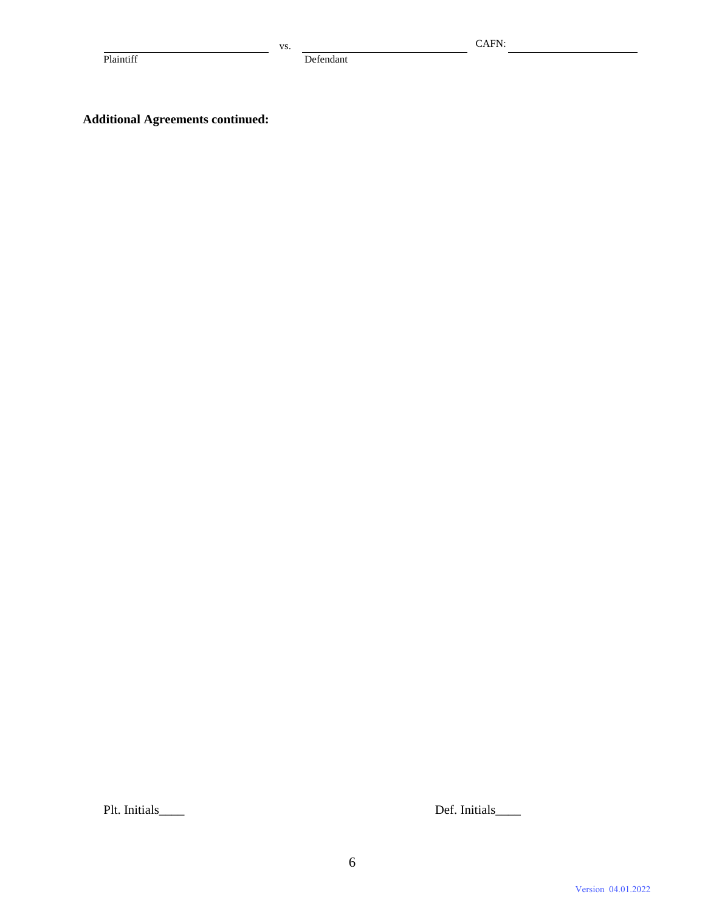**Additional Agreements continued:** 

Plt. Initials\_\_\_\_\_ Def. Initials\_\_\_\_\_